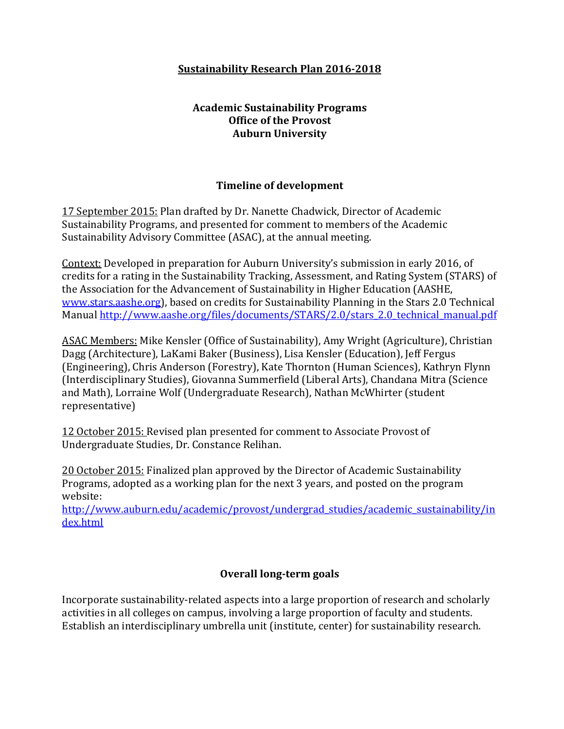## **Sustainability Research Plan 2016-2018**

# **Academic Sustainability Programs Office of the Provost Auburn University**

## **Timeline of development**

17 September 2015: Plan drafted by Dr. Nanette Chadwick, Director of Academic Sustainability Programs, and presented for comment to members of the Academic Sustainability Advisory Committee (ASAC), at the annual meeting.

Context: Developed in preparation for Auburn University's submission in early 2016, of credits for a rating in the Sustainability Tracking, Assessment, and Rating System (STARS) of the Association for the Advancement of Sustainability in Higher Education (AASHE, [www.stars.aashe.org\)](http://www.stars.aashe.org/), based on credits for Sustainability Planning in the Stars 2.0 Technical Manual [http://www.aashe.org/files/documents/STARS/2.0/stars\\_2.0\\_technical\\_manual.pdf](http://www.aashe.org/files/documents/STARS/2.0/stars_2.0_technical_manual.pdf)

ASAC Members: Mike Kensler (Office of Sustainability), Amy Wright (Agriculture), Christian Dagg (Architecture), LaKami Baker (Business), Lisa Kensler (Education), Jeff Fergus (Engineering), Chris Anderson (Forestry), Kate Thornton (Human Sciences), Kathryn Flynn (Interdisciplinary Studies), Giovanna Summerfield (Liberal Arts), Chandana Mitra (Science and Math), Lorraine Wolf (Undergraduate Research), Nathan McWhirter (student representative)

12 October 2015: Revised plan presented for comment to Associate Provost of Undergraduate Studies, Dr. Constance Relihan.

20 October 2015: Finalized plan approved by the Director of Academic Sustainability Programs, adopted as a working plan for the next 3 years, and posted on the program website:

[http://www.auburn.edu/academic/provost/undergrad\\_studies/academic\\_sustainability/in](http://www.auburn.edu/academic/provost/undergrad_studies/academic_sustainability/index.html) [dex.html](http://www.auburn.edu/academic/provost/undergrad_studies/academic_sustainability/index.html)

### **Overall long-term goals**

Incorporate sustainability-related aspects into a large proportion of research and scholarly activities in all colleges on campus, involving a large proportion of faculty and students. Establish an interdisciplinary umbrella unit (institute, center) for sustainability research.